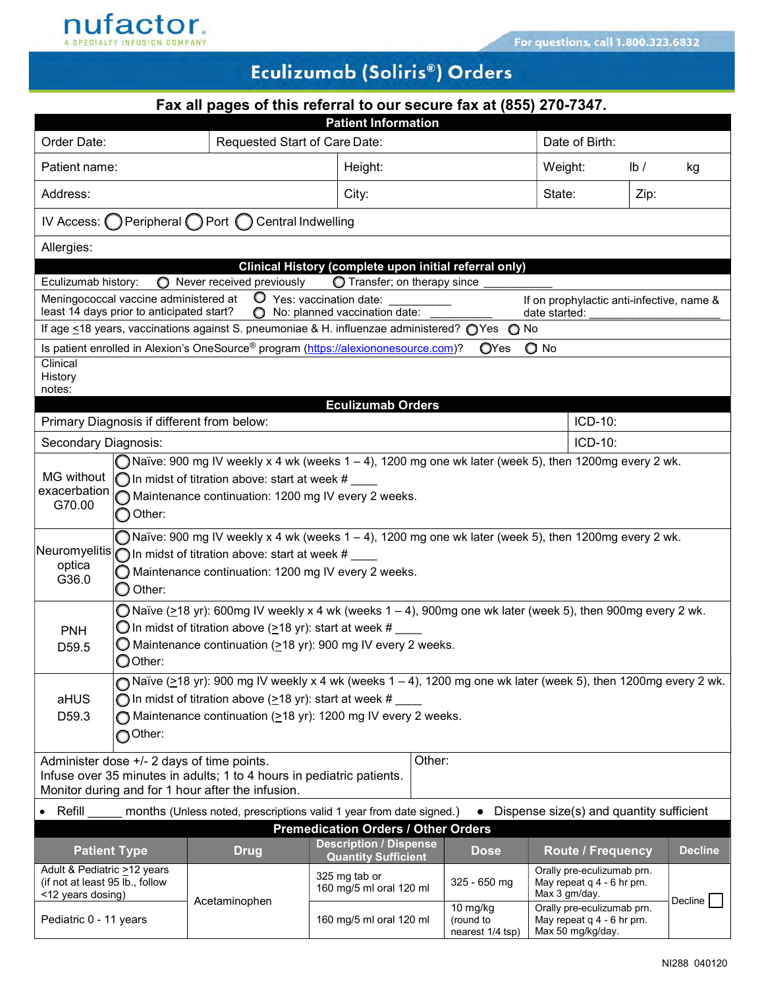

## Eculizumab (Soliris®) Orders

| Fax all pages of this referral to our secure fax at (855) 270-7347.                                                                                                                                                                                                                               |                                                                                                                                                                                                                                                                              |                                                                                                                                                                          |                                                             |                                     |             |                                                        |                                                                             |                                                                                 |                         |                |  |
|---------------------------------------------------------------------------------------------------------------------------------------------------------------------------------------------------------------------------------------------------------------------------------------------------|------------------------------------------------------------------------------------------------------------------------------------------------------------------------------------------------------------------------------------------------------------------------------|--------------------------------------------------------------------------------------------------------------------------------------------------------------------------|-------------------------------------------------------------|-------------------------------------|-------------|--------------------------------------------------------|-----------------------------------------------------------------------------|---------------------------------------------------------------------------------|-------------------------|----------------|--|
|                                                                                                                                                                                                                                                                                                   |                                                                                                                                                                                                                                                                              |                                                                                                                                                                          |                                                             | <b>Patient Information</b>          |             |                                                        |                                                                             |                                                                                 |                         |                |  |
| Order Date:<br>Requested Start of Care Date:                                                                                                                                                                                                                                                      |                                                                                                                                                                                                                                                                              |                                                                                                                                                                          |                                                             |                                     |             |                                                        |                                                                             | Date of Birth:                                                                  |                         |                |  |
| Patient name:                                                                                                                                                                                                                                                                                     |                                                                                                                                                                                                                                                                              |                                                                                                                                                                          |                                                             | Height:                             |             |                                                        | Weight:                                                                     |                                                                                 | $\mathsf{lb}/\mathsf{}$ | kg             |  |
| Address:                                                                                                                                                                                                                                                                                          |                                                                                                                                                                                                                                                                              |                                                                                                                                                                          |                                                             | City:                               |             |                                                        | State:                                                                      |                                                                                 | Zip:                    |                |  |
|                                                                                                                                                                                                                                                                                                   | IV Access: O Peripheral O Port O                                                                                                                                                                                                                                             | Central Indwelling                                                                                                                                                       |                                                             |                                     |             |                                                        |                                                                             |                                                                                 |                         |                |  |
| Allergies:                                                                                                                                                                                                                                                                                        |                                                                                                                                                                                                                                                                              |                                                                                                                                                                          |                                                             |                                     |             |                                                        |                                                                             |                                                                                 |                         |                |  |
| Eculizumab history:                                                                                                                                                                                                                                                                               |                                                                                                                                                                                                                                                                              |                                                                                                                                                                          |                                                             | <b>O</b> Transfer; on therapy since |             | Clinical History (complete upon initial referral only) |                                                                             |                                                                                 |                         |                |  |
|                                                                                                                                                                                                                                                                                                   | Meningococcal vaccine administered at                                                                                                                                                                                                                                        | $\bigcirc$ Never received previously<br>O Yes: vaccination date:                                                                                                         |                                                             |                                     |             |                                                        |                                                                             |                                                                                 |                         |                |  |
| If on prophylactic anti-infective, name &<br>least 14 days prior to anticipated start?<br>◯ No: planned vaccination date:<br>date started:<br>If age ≤18 years, vaccinations against S. pneumoniae & H. influenzae administered? O Yes O No                                                       |                                                                                                                                                                                                                                                                              |                                                                                                                                                                          |                                                             |                                     |             |                                                        |                                                                             |                                                                                 |                         |                |  |
|                                                                                                                                                                                                                                                                                                   |                                                                                                                                                                                                                                                                              | Is patient enrolled in Alexion's OneSource® program (https://alexiononesource.com)?                                                                                      |                                                             |                                     |             | <b>O</b> Yes                                           | $\bigcirc$ No                                                               |                                                                                 |                         |                |  |
| Clinical                                                                                                                                                                                                                                                                                          |                                                                                                                                                                                                                                                                              |                                                                                                                                                                          |                                                             |                                     |             |                                                        |                                                                             |                                                                                 |                         |                |  |
| History<br>notes:                                                                                                                                                                                                                                                                                 |                                                                                                                                                                                                                                                                              |                                                                                                                                                                          |                                                             |                                     |             |                                                        |                                                                             |                                                                                 |                         |                |  |
|                                                                                                                                                                                                                                                                                                   |                                                                                                                                                                                                                                                                              |                                                                                                                                                                          |                                                             | <b>Eculizumab Orders</b>            |             |                                                        |                                                                             |                                                                                 |                         |                |  |
|                                                                                                                                                                                                                                                                                                   |                                                                                                                                                                                                                                                                              | Primary Diagnosis if different from below:                                                                                                                               |                                                             |                                     |             |                                                        |                                                                             | ICD-10:                                                                         |                         |                |  |
| Secondary Diagnosis:                                                                                                                                                                                                                                                                              |                                                                                                                                                                                                                                                                              |                                                                                                                                                                          |                                                             |                                     |             |                                                        |                                                                             | ICD-10:                                                                         |                         |                |  |
| $\bigcap$ Naïve: 900 mg IV weekly x 4 wk (weeks 1 – 4), 1200 mg one wk later (week 5), then 1200mg every 2 wk.<br>MG without<br>$\bigcap$ In midst of titration above: start at week # $\_$<br>exacerbation<br>Maintenance continuation: 1200 mg IV every 2 weeks.<br>G70.00<br>$\bigcirc$ Other: |                                                                                                                                                                                                                                                                              |                                                                                                                                                                          |                                                             |                                     |             |                                                        |                                                                             |                                                                                 |                         |                |  |
| optica<br>G36.0                                                                                                                                                                                                                                                                                   | O Naïve: 900 mg IV weekly x 4 wk (weeks $1 - 4$ ), 1200 mg one wk later (week 5), then 1200mg every 2 wk.<br>Neuromyelitis $\bigcirc$ In midst of titration above: start at week # $\_$<br>Maintenance continuation: 1200 mg IV every 2 weeks.<br>$\bigcirc$ Other:          |                                                                                                                                                                          |                                                             |                                     |             |                                                        |                                                                             |                                                                                 |                         |                |  |
| <b>PNH</b><br>D59.5                                                                                                                                                                                                                                                                               | O Naïve (>18 yr): 600mg IV weekly x 4 wk (weeks $1 - 4$ ), 900mg one wk later (week 5), then 900mg every 2 wk.<br>$\bigcirc$ In midst of titration above (>18 yr): start at week # $\_$<br>$\bigcirc$ Maintenance continuation (>18 yr): 900 mg IV every 2 weeks.<br>OOther: |                                                                                                                                                                          |                                                             |                                     |             |                                                        |                                                                             |                                                                                 |                         |                |  |
| Naïve ( $\geq$ 18 yr): 900 mg IV weekly x 4 wk (weeks 1 – 4), 1200 mg one wk later (week 5), then 1200mg every 2 wk.<br>O In midst of titration above ( $\geq$ 18 yr): start at week #<br>aHUS<br>Maintenance continuation (>18 yr): 1200 mg IV every 2 weeks.<br>D59.3<br>OOther:                |                                                                                                                                                                                                                                                                              |                                                                                                                                                                          |                                                             |                                     |             |                                                        |                                                                             |                                                                                 |                         |                |  |
|                                                                                                                                                                                                                                                                                                   |                                                                                                                                                                                                                                                                              | Administer dose +/- 2 days of time points.<br>Infuse over 35 minutes in adults; 1 to 4 hours in pediatric patients.<br>Monitor during and for 1 hour after the infusion. |                                                             |                                     | Other:      |                                                        |                                                                             |                                                                                 |                         |                |  |
| Refill                                                                                                                                                                                                                                                                                            |                                                                                                                                                                                                                                                                              | months (Unless noted, prescriptions valid 1 year from date signed.)                                                                                                      |                                                             |                                     |             |                                                        |                                                                             | Dispense size(s) and quantity sufficient                                        |                         |                |  |
| <b>Premedication Orders / Other Orders</b>                                                                                                                                                                                                                                                        |                                                                                                                                                                                                                                                                              |                                                                                                                                                                          |                                                             |                                     |             |                                                        |                                                                             |                                                                                 |                         |                |  |
| <b>Patient Type</b><br><b>Drug</b>                                                                                                                                                                                                                                                                |                                                                                                                                                                                                                                                                              |                                                                                                                                                                          | <b>Description / Dispense</b><br><b>Quantity Sufficient</b> |                                     | <b>Dose</b> |                                                        | <b>Route / Frequency</b>                                                    |                                                                                 | <b>Decline</b>          |                |  |
| Adult & Pediatric >12 years<br>(if not at least 95 lb., follow<br><12 years dosing)                                                                                                                                                                                                               |                                                                                                                                                                                                                                                                              |                                                                                                                                                                          | 325 mg tab or                                               | 160 mg/5 ml oral 120 ml             |             | $325 - 650$ mg                                         | Orally pre-eculizumab prn.<br>May repeat $q$ 4 - 6 hr prn.<br>Max 3 gm/day. |                                                                                 |                         |                |  |
| Pediatric 0 - 11 years                                                                                                                                                                                                                                                                            |                                                                                                                                                                                                                                                                              | Acetaminophen                                                                                                                                                            |                                                             | 160 mg/5 ml oral 120 ml             |             | 10 $mg/kg$<br>(round to<br>nearest 1/4 tsp)            |                                                                             | Orally pre-eculizumab prn.<br>May repeat $q$ 4 - 6 hr prn.<br>Max 50 mg/kg/day. |                         | <b>Decline</b> |  |